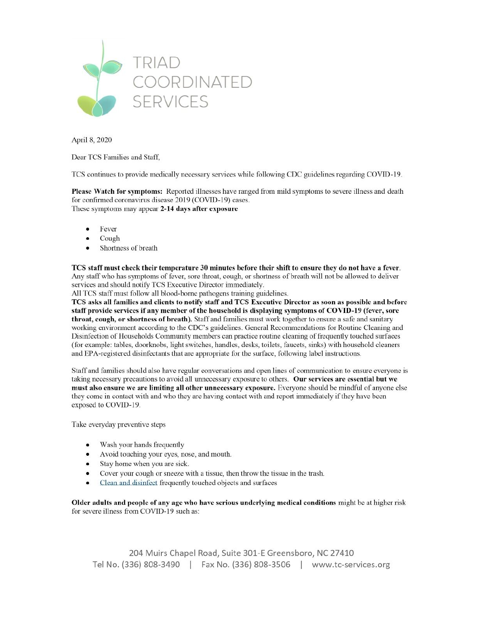

April 8, 2020

Dear TCS Families and Staff.

TCS continues to provide medically necessary services while following CDC guidelines regarding COVID-19.

Please Watch for symptoms: Reported illnesses have ranged from mild symptoms to severe illness and death for confirmed coronavirus disease 2019 (COVID-19) cases. These symptoms may appear 2-14 days after exposure

- Fever  $\bullet$
- Cough  $\bullet$
- Shortness of breath  $\bullet$

TCS staff must check their temperature 30 minutes before their shift to ensure they do not have a fever. Any staff who has symptoms of fever, sore throat, cough, or shortness of breath will not be allowed to deliver services and should notify TCS Executive Director immediately.

All TCS staff must follow all blood-borne pathogens training guidelines.

TCS asks all families and clients to notify staff and TCS Executive Director as soon as possible and before staff provide services if any member of the household is displaying symptoms of COVID-19 (fever, sore throat, cough, or shortness of breath). Staff and families must work together to ensure a safe and sanitary working environment according to the CDC's guidelines. General Recommendations for Routine Cleaning and Disinfection of Households Community members can practice routine cleaning of frequently touched surfaces (for example: tables, doorknobs, light switches, handles, desks, toilets, faucets, sinks) with household cleaners and EPA-registered disinfectants that are appropriate for the surface, following label instructions.

Staff and families should also have regular conversations and open lines of communication to ensure everyone is taking necessary precautions to avoid all unnecessary exposure to others. Our services are essential but we must also ensure we are limiting all other unnecessary exposure. Everyone should be mindful of anyone else they come in contact with and who they are having contact with and report immediately if they have been exposed to COVID-19.

Take everyday preventive steps

- Wash your hands frequently
- Avoid touching your eyes, nose, and mouth.  $\bullet$
- Stay home when you are sick.  $\bullet$
- Cover your cough or sneeze with a tissue, then throw the tissue in the trash.  $\bullet$
- Clean and disinfect frequently touched objects and surfaces  $\bullet$

Older adults and people of any age who have serious underlying medical conditions might be at higher risk for severe illness from COVID-19 such as:

204 Muirs Chapel Road, Suite 301-E Greensboro, NC 27410 Tel No. (336) 808-3490 | Fax No. (336) 808-3506 | www.tc-services.org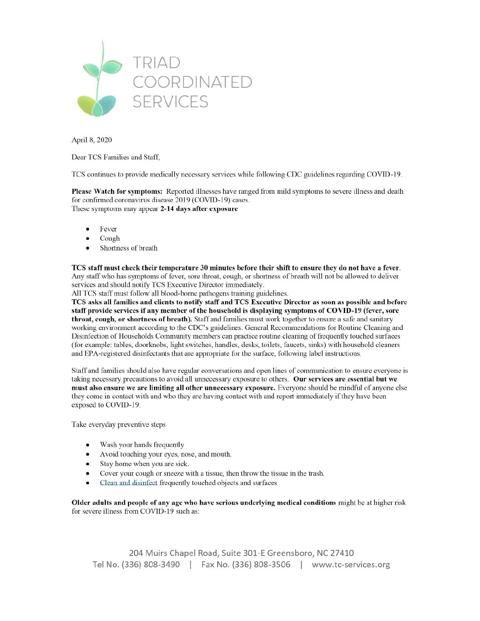

April 8, 2020

Dear TCS Families and Staff.

TCS continues to provide medically necessary services while following CDC guidelines regarding COVID-19.

Please Watch for symptoms: Reported illnesses have ranged from mild symptoms to severe illness and death for confirmed coronavirus disease 2019 (COVID-19) cases. These symptoms may appear 2-14 days after exposure

- Fever  $\bullet$
- Cough  $\bullet$
- Shortness of breath  $\bullet$

TCS staff must check their temperature 30 minutes before their shift to ensure they do not have a fever. Any staff who has symptoms of fever, sore throat, cough, or shortness of breath will not be allowed to deliver services and should notify TCS Executive Director immediately.

All TCS staff must follow all blood-borne pathogens training guidelines.

TCS asks all families and clients to notify staff and TCS Executive Director as soon as possible and before staff provide services if any member of the household is displaying symptoms of COVID-19 (fever, sore throat, cough, or shortness of breath). Staff and families must work together to ensure a safe and sanitary working environment according to the CDC's guidelines. General Recommendations for Routine Cleaning and Disinfection of Households Community members can practice routine cleaning of frequently touched surfaces (for example: tables, doorknobs, light switches, handles, desks, toilets, faucets, sinks) with household cleaners and EPA-registered disinfectants that are appropriate for the surface, following label instructions.

Staff and families should also have regular conversations and open lines of communication to ensure everyone is taking necessary precautions to avoid all unnecessary exposure to others. Our services are essential but we must also ensure we are limiting all other unnecessary exposure. Everyone should be mindful of anyone else they come in contact with and who they are having contact with and report immediately if they have been exposed to COVID-19.

Take everyday preventive steps

- Wash your hands frequently
- Avoid touching your eyes, nose, and mouth.  $\bullet$
- Stay home when you are sick.  $\bullet$
- Cover your cough or sneeze with a tissue, then throw the tissue in the trash.  $\bullet$
- Clean and disinfect frequently touched objects and surfaces  $\bullet$

Older adults and people of any age who have serious underlying medical conditions might be at higher risk for severe illness from COVID-19 such as:

204 Muirs Chapel Road, Suite 301-E Greensboro, NC 27410 Tel No. (336) 808-3490 | Fax No. (336) 808-3506 | www.tc-services.org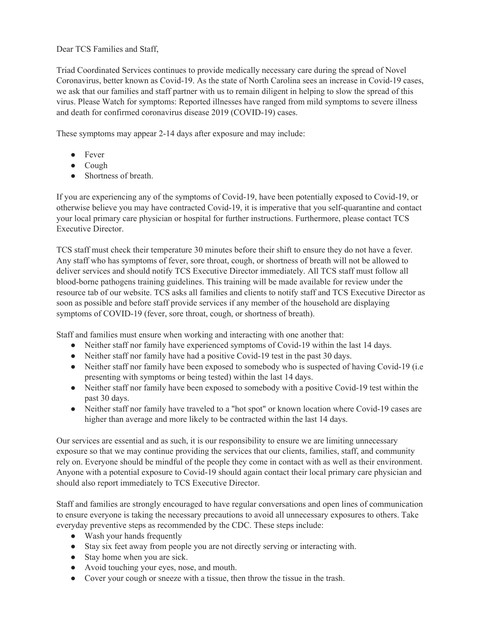Dear TCS Families and Staff,

Triad Coordinated Services continues to provide medically necessary care during the spread of Novel Coronavirus, better known as Covid-19. As the state of North Carolina sees an increase in Covid-19 cases, we ask that our families and staff partner with us to remain diligent in helping to slow the spread of this virus. Please Watch for symptoms: Reported illnesses have ranged from mild symptoms to severe illness and death for confirmed coronavirus disease 2019 (COVID-19) cases.

These symptoms may appear 2-14 days after exposure and may include:

- Fever
- Cough
- Shortness of breath.

If you are experiencing any of the symptoms of Covid-19, have been potentially exposed to Covid-19, or otherwise believe you may have contracted Covid-19, it is imperative that you self-quarantine and contact your local primary care physician or hospital for further instructions. Furthermore, please contact TCS Executive Director.

TCS staff must check their temperature 30 minutes before their shift to ensure they do not have a fever. Any staff who has symptoms of fever, sore throat, cough, or shortness of breath will not be allowed to deliver services and should notify TCS Executive Director immediately. All TCS staff must follow all blood-borne pathogens training guidelines. This training will be made available for review under the resource tab of our website. TCS asks all families and clients to notify staff and TCS Executive Director as soon as possible and before staff provide services if any member of the household are displaying symptoms of COVID-19 (fever, sore throat, cough, or shortness of breath).

Staff and families must ensure when working and interacting with one another that:

- Neither staff nor family have experienced symptoms of Covid-19 within the last 14 days.
- Neither staff nor family have had a positive Covid-19 test in the past 30 days.
- Neither staff nor family have been exposed to somebody who is suspected of having Covid-19 (i.e. presenting with symptoms or being tested) within the last 14 days.
- Neither staff nor family have been exposed to somebody with a positive Covid-19 test within the past 30 days.
- Neither staff nor family have traveled to a "hot spot" or known location where Covid-19 cases are higher than average and more likely to be contracted within the last 14 days.

Our services are essential and as such, it is our responsibility to ensure we are limiting unnecessary exposure so that we may continue providing the services that our clients, families, staff, and community rely on. Everyone should be mindful of the people they come in contact with as well as their environment. Anyone with a potential exposure to Covid-19 should again contact their local primary care physician and should also report immediately to TCS Executive Director.

Staff and families are strongly encouraged to have regular conversations and open lines of communication to ensure everyone is taking the necessary precautions to avoid all unnecessary exposures to others. Take everyday preventive steps as recommended by the CDC. These steps include:

- Wash your hands frequently
- Stay six feet away from people you are not directly serving or interacting with.
- Stay home when you are sick.
- Avoid touching your eyes, nose, and mouth.
- Cover your cough or sneeze with a tissue, then throw the tissue in the trash.